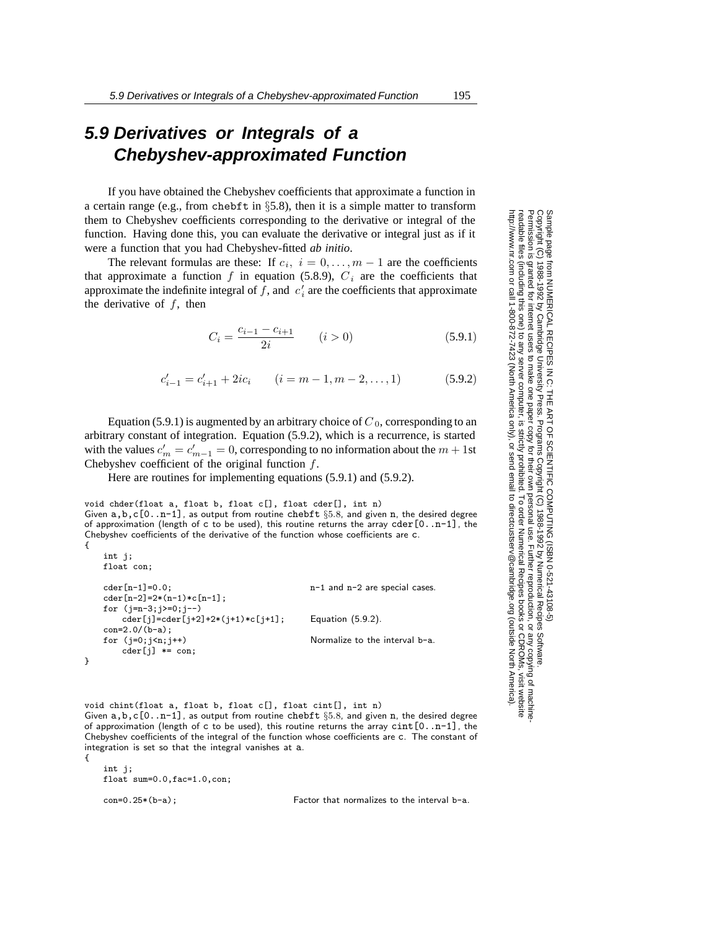# **5.9 Derivatives or Integrals of a Chebyshev-approximated Function**

If you have obtained the Chebyshev coefficients that approximate a function in a certain range (e.g., from chebft in  $\S$ 5.8), then it is a simple matter to transform them to Chebyshev coefficients corresponding to the derivative or integral of the function. Having done this, you can evaluate the derivative or integral just as if it were a function that you had Chebyshev-fitted *ab initio*.

The relevant formulas are these: If  $c_i$ ,  $i = 0, \ldots, m-1$  are the coefficients that approximate a function  $f$  in equation (5.8.9),  $C_i$  are the coefficients that approximate the indefinite integral of  $f$ , and  $c'$  are the coefficients that approximate the derivative of  $f$  then the derivative of *f*, then

$$
C_i = \frac{c_{i-1} - c_{i+1}}{2i} \qquad (i > 0)
$$
\n(5.9.1)

$$
c'_{i-1} = c'_{i+1} + 2ic_i \qquad (i = m-1, m-2, \dots, 1)
$$
 (5.9.2)

Equation (5.9.1) is augmented by an arbitrary choice of  $C_0$ , corresponding to an arbitrary constant of integration. Equation (5.9.2), which is a recurrence, is started with the values  $c'_m = c'_{m-1} = 0$ , corresponding to no information about the  $m + 1$ st<br>Chebyshev coefficient of the original function f Chebyshev coefficient of the original function *f*.

Here are routines for implementing equations (5.9.1) and (5.9.2).

void chder(float a, float b, float c[], float cder[], int n) Given a,b,c[0..n-1], as output from routine chebft *§*5*.*8, and given <sup>n</sup>, the desired degree of approximation (length of c to be used), this routine returns the array cder  $[0 \tcdot n-1]$ , the Chebyshev coefficients of the derivative of the function whose coefficients are c. {

```
int j;
float con;
cder[n-1]=0.0; n-1 and n-2 are special cases.
cder[n-2]=2*(n-1)*c[n-1];for (j=n-3;j>=0;j--)
   cder[j]=cder[j+2]+2*(j+1)*c[j+1]; Equation (5.9.2).
con=2.0/(b-a);
for (j=0;j<n;j++) Normalize to the interval b-a.
   cder[j] *= con;
```
void chint(float a, float b, float c[], float cint[], int n) Given a,b,c[0..n-1], as output from routine chebft *§*5*.*8, and given <sup>n</sup>, the desired degree of approximation (length of c to be used), this routine returns the array cint[0..n-1], the Chebyshev coefficients of the integral of the function whose coefficients are c. The constant of integration is set so that the integral vanishes at a.

int j; float sum=0.0,fac=1.0,con;

}

{

con=0.25\*(b-a); Factor that normalizes to the interval b-a.

Permission is granted for internet users to make one paper copy for their own personal use. Further reproduction, or any copyin Copyright (C) 1988-1992 by Cambridge University Press.Programs Copyright (C) 1988-1992 by Numerical Recipes Software. Sample page from NUMERICAL RECIPES IN C: THE ART OF SCIENTIFIC COMPUTING (ISBN 0-521-43108-5) g of machinereadable files (including this one) to any servercomputer, is strictly prohibited. To order Numerical Recipes booksor CDROMs, visit website http://www.nr.com or call 1-800-872-7423 (North America only),or send email to directcustserv@cambridge.org (outside North America).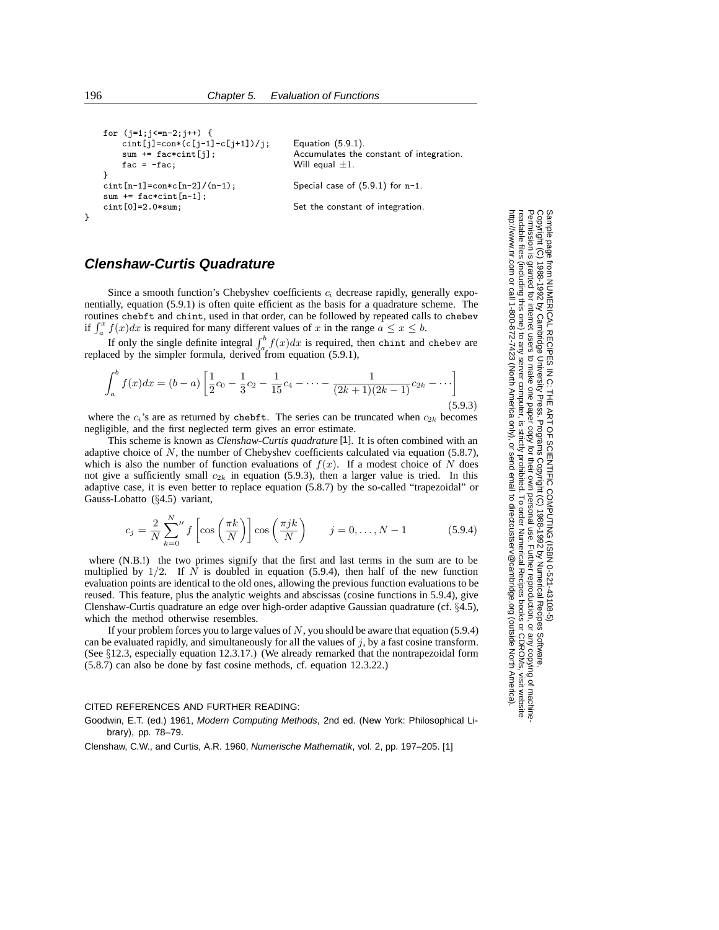```
for (j=1; j<=n-2; j++) {
    \text{cint}[j] = \text{con} * (c[j-1] - c[j+1])/j; Equation (5.9.1).
   \text{fac} = -\text{fac}; Will equal \pm 1.
}
\text{cint}[n-1]=\text{con}*c[n-2]/(n-1); Special case of (5.9.1) for n-1.
sum += fac*cint[n-1];
cint [0] = 2.0*sum; Set the constant of integration.
```

```
sum += fac*cint[j]; Accumulates the constant of integration.
```
### **Clenshaw-Curtis Quadrature**

Since a smooth function's Chebyshev coefficients  $c_i$  decrease rapidly, generally exponentially, equation (5.9.1) is often quite efficient as the basis for a quadrature scheme. The routines chebft and chint, used in that order, can be followed by repeated calls to chebev if  $\int_a^x f(x)dx$  is required for many different values of x in the range  $a \le x \le b$ .

If only the single definite integral  $\int_a^b f(x)dx$  is required, then chint and chebev are replaced by the simpler formula, derived from equation (5.9.1),

$$
\int_{a}^{b} f(x)dx = (b-a)\left[\frac{1}{2}c_0 - \frac{1}{3}c_2 - \frac{1}{15}c_4 - \dots - \frac{1}{(2k+1)(2k-1)}c_{2k} - \dots\right]
$$
\n(5.9.3)

where the  $c_i$ 's are as returned by chebft. The series can be truncated when  $c_{2k}$  becomes negligible, and the first neglected term gives an error estimate.

This scheme is known as *Clenshaw-Curtis quadrature* [1]. It is often combined with an adaptive choice of N, the number of Chebyshev coefficients calculated via equation (5.8.7), which is also the number of function evaluations of  $f(x)$ . If a modest choice of N does not give a sufficiently small  $c_{2k}$  in equation (5.9.3), then a larger value is tried. In this adaptive case, it is even better to replace equation (5.8.7) by the so-called "trapezoidal" or Gauss-Lobatto (§4.5) variant,

$$
c_j = \frac{2}{N} \sum_{k=0}^{N} f\left[\cos\left(\frac{\pi k}{N}\right)\right] \cos\left(\frac{\pi j k}{N}\right) \qquad j = 0, \dots, N-1 \tag{5.9.4}
$$

where (N.B.!) the two primes signify that the first and last terms in the sum are to be multiplied by  $1/2$ . If N is doubled in equation (5.9.4), then half of the new function evaluation points are identical to the old ones, allowing the previous function evaluations to be reused. This feature, plus the analytic weights and abscissas (cosine functions in 5.9.4), give Clenshaw-Curtis quadrature an edge over high-order adaptive Gaussian quadrature (cf. §4.5), which the method otherwise resembles.

If your problem forces you to large values of  $N$ , you should be aware that equation (5.9.4) can be evaluated rapidly, and simultaneously for all the values of  $j$ , by a fast cosine transform. (See §12.3, especially equation 12.3.17.) (We already remarked that the nontrapezoidal form (5.8.7) can also be done by fast cosine methods, cf. equation 12.3.22.)

### CITED REFERENCES AND FURTHER READING:

Goodwin, E.T. (ed.) 1961, Modern Computing Methods, 2nd ed. (New York: Philosophical Library), pp. 78–79.

Clenshaw, C.W., and Curtis, A.R. 1960, Numerische Mathematik, vol. 2, pp. 197–205. [1]

Permission is granted for internet users to make one paper copy for their own personal use. Further reproduction, or any copyin Copyright (C) 1988-1992 by Cambridge University Press.Programs Copyright (C) 1988-1992 by Numerical Recipes Software. Sample page from NUMERICAL RECIPES IN C: THE ART OF SCIENTIFIC COMPUTING (ISBN 0-521-43108-5) g of machinereadable files (including this one) to any servercomputer, is strictly prohibited. To order Numerical Recipes booksor CDROMs, visit website http://www.nr.com or call 1-800-872-7423 (North America only),or send email to directcustserv@cambridge.org (outside North America).

}